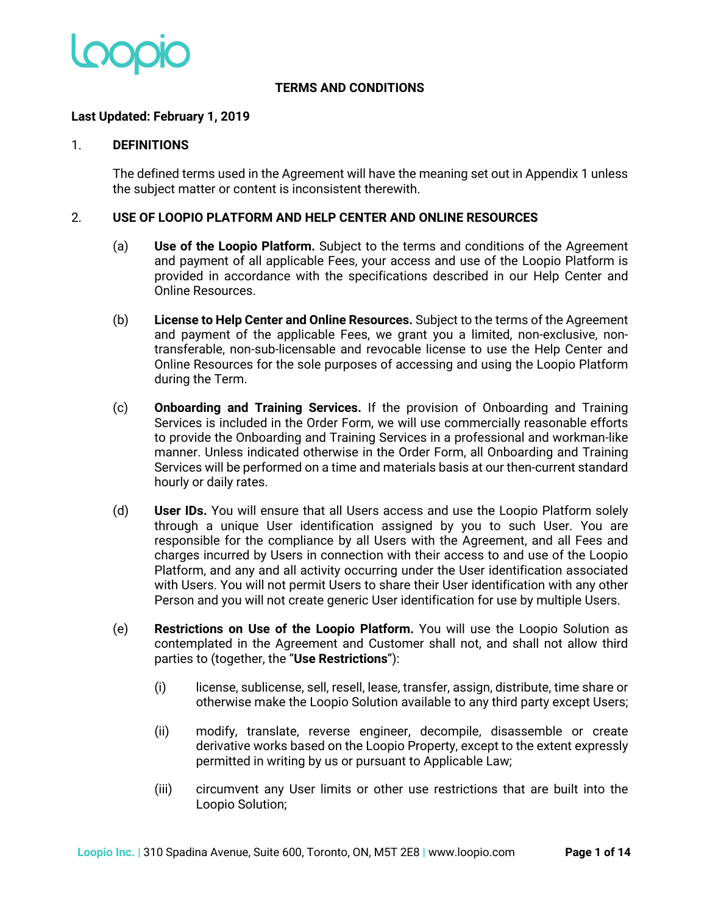

#### **TERMS AND CONDITIONS**

#### **Last Updated: February 1, 2019**

#### 1. **DEFINITIONS**

The defined terms used in the Agreement will have the meaning set out in Appendix 1 unless the subject matter or content is inconsistent therewith.

#### 2. **USE OF LOOPIO PLATFORM AND HELP CENTER AND ONLINE RESOURCES**

- (a) **Use of the Loopio Platform.** Subject to the terms and conditions of the Agreement and payment of all applicable Fees, your access and use of the Loopio Platform is provided in accordance with the specifications described in our Help Center and Online Resources.
- (b) **License to Help Center and Online Resources.** Subject to the terms of the Agreement and payment of the applicable Fees, we grant you a limited, non-exclusive, nontransferable, non-sub-licensable and revocable license to use the Help Center and Online Resources for the sole purposes of accessing and using the Loopio Platform during the Term.
- (c) **Onboarding and Training Services.** If the provision of Onboarding and Training Services is included in the Order Form, we will use commercially reasonable efforts to provide the Onboarding and Training Services in a professional and workman-like manner. Unless indicated otherwise in the Order Form, all Onboarding and Training Services will be performed on a time and materials basis at our then-current standard hourly or daily rates.
- (d) **User IDs.** You will ensure that all Users access and use the Loopio Platform solely through a unique User identification assigned by you to such User. You are responsible for the compliance by all Users with the Agreement, and all Fees and charges incurred by Users in connection with their access to and use of the Loopio Platform, and any and all activity occurring under the User identification associated with Users. You will not permit Users to share their User identification with any other Person and you will not create generic User identification for use by multiple Users.
- (e) **Restrictions on Use of the Loopio Platform.** You will use the Loopio Solution as contemplated in the Agreement and Customer shall not, and shall not allow third parties to (together, the "**Use Restrictions**"):
	- (i) license, sublicense, sell, resell, lease, transfer, assign, distribute, time share or otherwise make the Loopio Solution available to any third party except Users;
	- (ii) modify, translate, reverse engineer, decompile, disassemble or create derivative works based on the Loopio Property, except to the extent expressly permitted in writing by us or pursuant to Applicable Law;
	- (iii) circumvent any User limits or other use restrictions that are built into the Loopio Solution;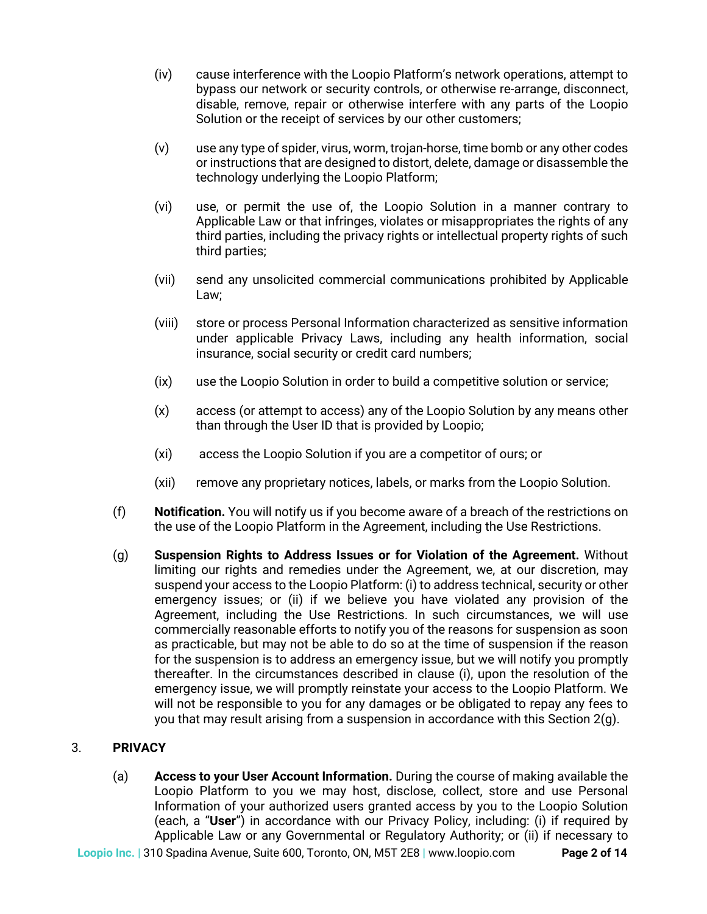- (iv) cause interference with the Loopio Platform's network operations, attempt to bypass our network or security controls, or otherwise re-arrange, disconnect, disable, remove, repair or otherwise interfere with any parts of the Loopio Solution or the receipt of services by our other customers;
- (v) use any type of spider, virus, worm, trojan-horse, time bomb or any other codes or instructions that are designed to distort, delete, damage or disassemble the technology underlying the Loopio Platform;
- (vi) use, or permit the use of, the Loopio Solution in a manner contrary to Applicable Law or that infringes, violates or misappropriates the rights of any third parties, including the privacy rights or intellectual property rights of such third parties;
- (vii) send any unsolicited commercial communications prohibited by Applicable Law;
- (viii) store or process Personal Information characterized as sensitive information under applicable Privacy Laws, including any health information, social insurance, social security or credit card numbers;
- (ix) use the Loopio Solution in order to build a competitive solution or service;
- (x) access (or attempt to access) any of the Loopio Solution by any means other than through the User ID that is provided by Loopio;
- (xi) access the Loopio Solution if you are a competitor of ours; or
- (xii) remove any proprietary notices, labels, or marks from the Loopio Solution.
- (f) **Notification.** You will notify us if you become aware of a breach of the restrictions on the use of the Loopio Platform in the Agreement, including the Use Restrictions.
- (g) **Suspension Rights to Address Issues or for Violation of the Agreement.** Without limiting our rights and remedies under the Agreement, we, at our discretion, may suspend your access to the Loopio Platform: (i) to address technical, security or other emergency issues; or (ii) if we believe you have violated any provision of the Agreement, including the Use Restrictions. In such circumstances, we will use commercially reasonable efforts to notify you of the reasons for suspension as soon as practicable, but may not be able to do so at the time of suspension if the reason for the suspension is to address an emergency issue, but we will notify you promptly thereafter. In the circumstances described in clause (i), upon the resolution of the emergency issue, we will promptly reinstate your access to the Loopio Platform. We will not be responsible to you for any damages or be obligated to repay any fees to you that may result arising from a suspension in accordance with this Section  $2(q)$ .

# 3. **PRIVACY**

(a) **Access to your User Account Information.** During the course of making available the Loopio Platform to you we may host, disclose, collect, store and use Personal Information of your authorized users granted access by you to the Loopio Solution (each, a "**User**") in accordance with our Privacy Policy, including: (i) if required by Applicable Law or any Governmental or Regulatory Authority; or (ii) if necessary to

**Loopio Inc. |** 310 Spadina Avenue, Suite 600, Toronto, ON, M5T 2E8 **|** www.loopio.com **Page 2 of 14**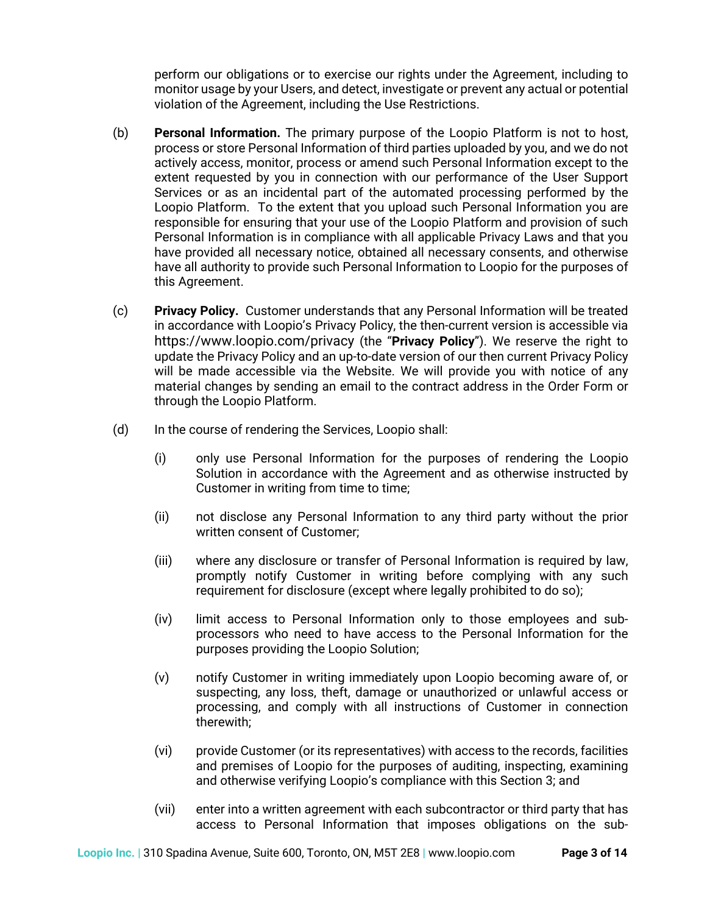perform our obligations or to exercise our rights under the Agreement, including to monitor usage by your Users, and detect, investigate or prevent any actual or potential violation of the Agreement, including the Use Restrictions.

- (b) **Personal Information.** The primary purpose of the Loopio Platform is not to host, process or store Personal Information of third parties uploaded by you, and we do not actively access, monitor, process or amend such Personal Information except to the extent requested by you in connection with our performance of the User Support Services or as an incidental part of the automated processing performed by the Loopio Platform. To the extent that you upload such Personal Information you are responsible for ensuring that your use of the Loopio Platform and provision of such Personal Information is in compliance with all applicable Privacy Laws and that you have provided all necessary notice, obtained all necessary consents, and otherwise have all authority to provide such Personal Information to Loopio for the purposes of this Agreement.
- (c) **Privacy Policy.** Customer understands that any Personal Information will be treated in accordance with Loopio's Privacy Policy, the then-current version is accessible via https://www.loopio.com/privacy (the "**Privacy Policy**"). We reserve the right to update the Privacy Policy and an up-to-date version of our then current Privacy Policy will be made accessible via the Website. We will provide you with notice of any material changes by sending an email to the contract address in the Order Form or through the Loopio Platform.
- (d) In the course of rendering the Services, Loopio shall:
	- (i) only use Personal Information for the purposes of rendering the Loopio Solution in accordance with the Agreement and as otherwise instructed by Customer in writing from time to time;
	- (ii) not disclose any Personal Information to any third party without the prior written consent of Customer;
	- (iii) where any disclosure or transfer of Personal Information is required by law, promptly notify Customer in writing before complying with any such requirement for disclosure (except where legally prohibited to do so);
	- (iv) limit access to Personal Information only to those employees and subprocessors who need to have access to the Personal Information for the purposes providing the Loopio Solution;
	- (v) notify Customer in writing immediately upon Loopio becoming aware of, or suspecting, any loss, theft, damage or unauthorized or unlawful access or processing, and comply with all instructions of Customer in connection therewith;
	- (vi) provide Customer (or its representatives) with access to the records, facilities and premises of Loopio for the purposes of auditing, inspecting, examining and otherwise verifying Loopio's compliance with this Section 3; and
	- (vii) enter into a written agreement with each subcontractor or third party that has access to Personal Information that imposes obligations on the sub-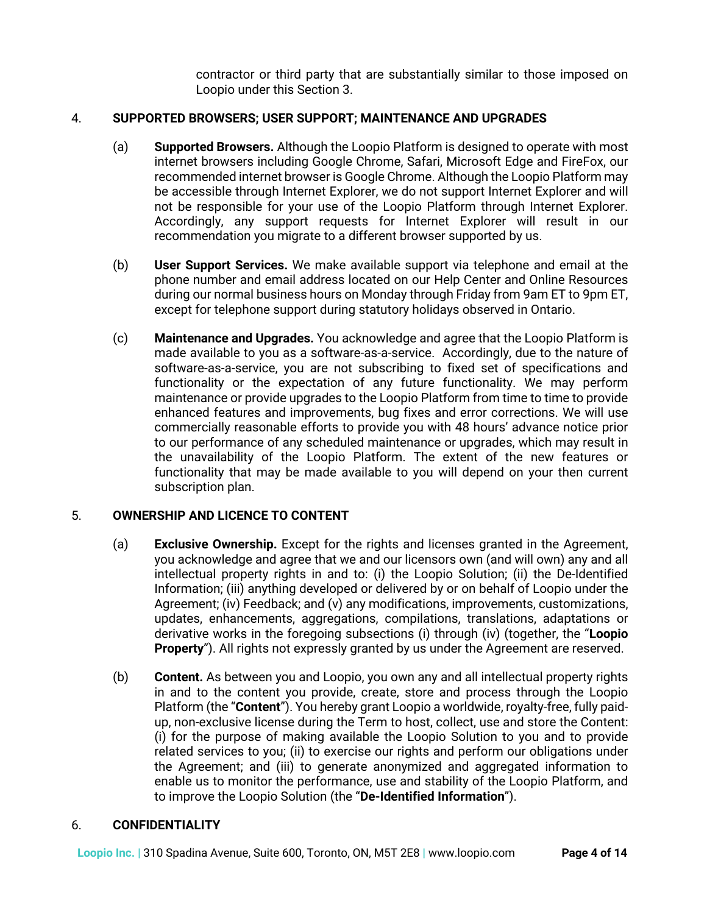contractor or third party that are substantially similar to those imposed on Loopio under this Section 3.

# 4. **SUPPORTED BROWSERS; USER SUPPORT; MAINTENANCE AND UPGRADES**

- (a) **Supported Browsers.** Although the Loopio Platform is designed to operate with most internet browsers including Google Chrome, Safari, Microsoft Edge and FireFox, our recommended internet browser is Google Chrome. Although the Loopio Platform may be accessible through Internet Explorer, we do not support Internet Explorer and will not be responsible for your use of the Loopio Platform through Internet Explorer. Accordingly, any support requests for Internet Explorer will result in our recommendation you migrate to a different browser supported by us.
- (b) **User Support Services.** We make available support via telephone and email at the phone number and email address located on our Help Center and Online Resources during our normal business hours on Monday through Friday from 9am ET to 9pm ET, except for telephone support during statutory holidays observed in Ontario.
- (c) **Maintenance and Upgrades.** You acknowledge and agree that the Loopio Platform is made available to you as a software-as-a-service. Accordingly, due to the nature of software-as-a-service, you are not subscribing to fixed set of specifications and functionality or the expectation of any future functionality. We may perform maintenance or provide upgrades to the Loopio Platform from time to time to provide enhanced features and improvements, bug fixes and error corrections. We will use commercially reasonable efforts to provide you with 48 hours' advance notice prior to our performance of any scheduled maintenance or upgrades, which may result in the unavailability of the Loopio Platform. The extent of the new features or functionality that may be made available to you will depend on your then current subscription plan.

# 5. **OWNERSHIP AND LICENCE TO CONTENT**

- (a) **Exclusive Ownership.** Except for the rights and licenses granted in the Agreement, you acknowledge and agree that we and our licensors own (and will own) any and all intellectual property rights in and to: (i) the Loopio Solution; (ii) the De-Identified Information; (iii) anything developed or delivered by or on behalf of Loopio under the Agreement; (iv) Feedback; and (v) any modifications, improvements, customizations, updates, enhancements, aggregations, compilations, translations, adaptations or derivative works in the foregoing subsections (i) through (iv) (together, the "**Loopio Property**"). All rights not expressly granted by us under the Agreement are reserved.
- (b) **Content.** As between you and Loopio, you own any and all intellectual property rights in and to the content you provide, create, store and process through the Loopio Platform (the "**Content**"). You hereby grant Loopio a worldwide, royalty-free, fully paidup, non-exclusive license during the Term to host, collect, use and store the Content: (i) for the purpose of making available the Loopio Solution to you and to provide related services to you; (ii) to exercise our rights and perform our obligations under the Agreement; and (iii) to generate anonymized and aggregated information to enable us to monitor the performance, use and stability of the Loopio Platform, and to improve the Loopio Solution (the "**De-Identified Information**").

# 6. **CONFIDENTIALITY**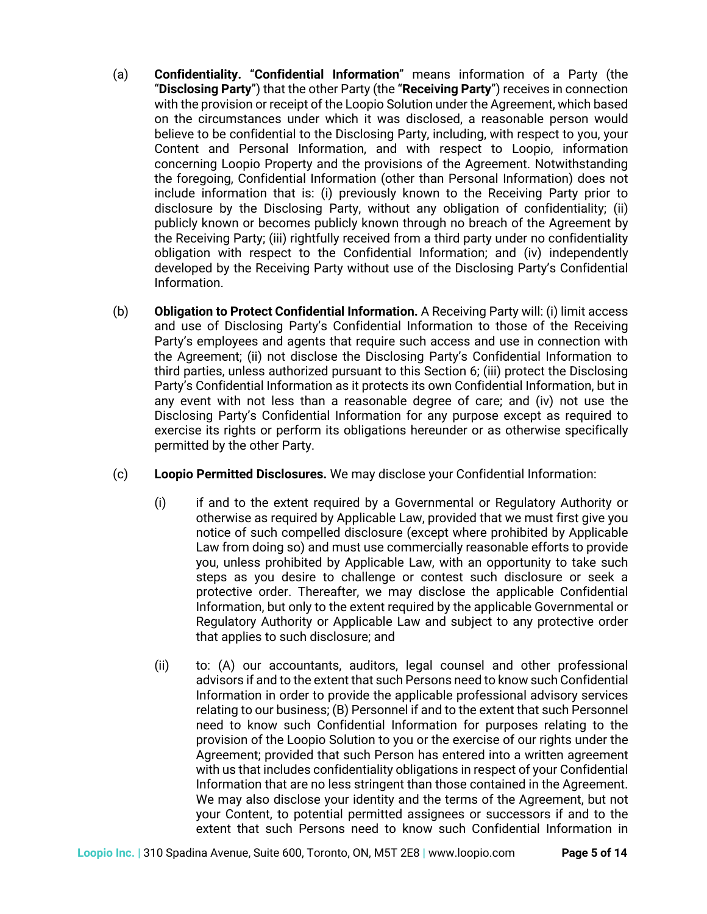- (a) **Confidentiality.** "**Confidential Information**" means information of a Party (the "**Disclosing Party**") that the other Party (the "**Receiving Party**") receives in connection with the provision or receipt of the Loopio Solution under the Agreement, which based on the circumstances under which it was disclosed, a reasonable person would believe to be confidential to the Disclosing Party, including, with respect to you, your Content and Personal Information, and with respect to Loopio, information concerning Loopio Property and the provisions of the Agreement. Notwithstanding the foregoing, Confidential Information (other than Personal Information) does not include information that is: (i) previously known to the Receiving Party prior to disclosure by the Disclosing Party, without any obligation of confidentiality; (ii) publicly known or becomes publicly known through no breach of the Agreement by the Receiving Party; (iii) rightfully received from a third party under no confidentiality obligation with respect to the Confidential Information; and (iv) independently developed by the Receiving Party without use of the Disclosing Party's Confidential Information.
- (b) **Obligation to Protect Confidential Information.** A Receiving Party will: (i) limit access and use of Disclosing Party's Confidential Information to those of the Receiving Party's employees and agents that require such access and use in connection with the Agreement; (ii) not disclose the Disclosing Party's Confidential Information to third parties, unless authorized pursuant to this Section 6; (iii) protect the Disclosing Party's Confidential Information as it protects its own Confidential Information, but in any event with not less than a reasonable degree of care; and (iv) not use the Disclosing Party's Confidential Information for any purpose except as required to exercise its rights or perform its obligations hereunder or as otherwise specifically permitted by the other Party.
- (c) **Loopio Permitted Disclosures.** We may disclose your Confidential Information:
	- (i) if and to the extent required by a Governmental or Regulatory Authority or otherwise as required by Applicable Law, provided that we must first give you notice of such compelled disclosure (except where prohibited by Applicable Law from doing so) and must use commercially reasonable efforts to provide you, unless prohibited by Applicable Law, with an opportunity to take such steps as you desire to challenge or contest such disclosure or seek a protective order. Thereafter, we may disclose the applicable Confidential Information, but only to the extent required by the applicable Governmental or Regulatory Authority or Applicable Law and subject to any protective order that applies to such disclosure; and
	- (ii) to: (A) our accountants, auditors, legal counsel and other professional advisors if and to the extent that such Persons need to know such Confidential Information in order to provide the applicable professional advisory services relating to our business; (B) Personnel if and to the extent that such Personnel need to know such Confidential Information for purposes relating to the provision of the Loopio Solution to you or the exercise of our rights under the Agreement; provided that such Person has entered into a written agreement with us that includes confidentiality obligations in respect of your Confidential Information that are no less stringent than those contained in the Agreement. We may also disclose your identity and the terms of the Agreement, but not your Content, to potential permitted assignees or successors if and to the extent that such Persons need to know such Confidential Information in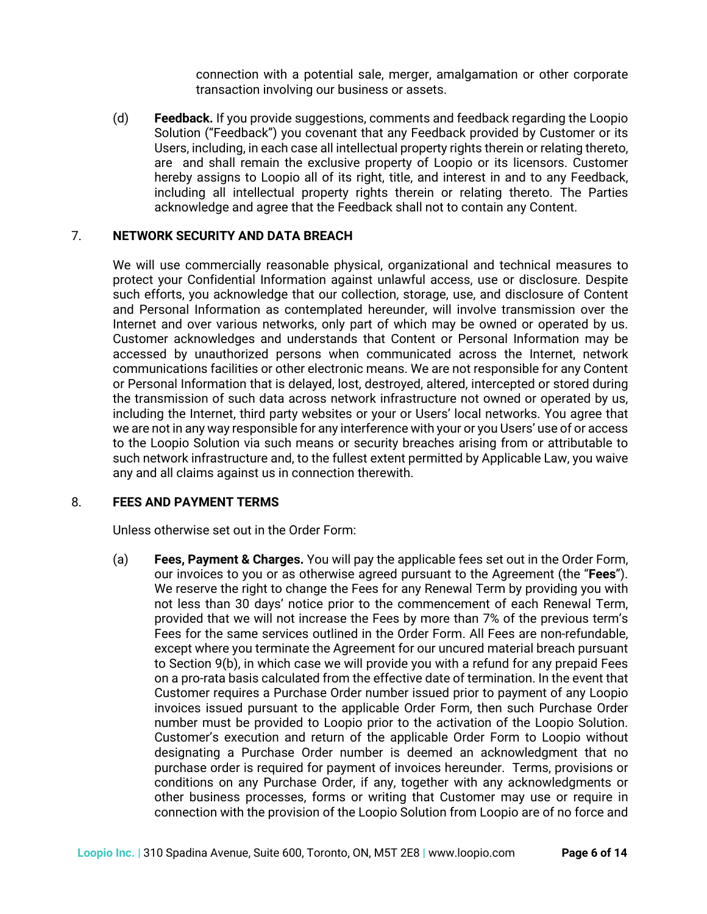connection with a potential sale, merger, amalgamation or other corporate transaction involving our business or assets.

(d) **Feedback.** If you provide suggestions, comments and feedback regarding the Loopio Solution ("Feedback") you covenant that any Feedback provided by Customer or its Users, including, in each case all intellectual property rights therein or relating thereto, are and shall remain the exclusive property of Loopio or its licensors. Customer hereby assigns to Loopio all of its right, title, and interest in and to any Feedback, including all intellectual property rights therein or relating thereto. The Parties acknowledge and agree that the Feedback shall not to contain any Content.

### 7. **NETWORK SECURITY AND DATA BREACH**

We will use commercially reasonable physical, organizational and technical measures to protect your Confidential Information against unlawful access, use or disclosure. Despite such efforts, you acknowledge that our collection, storage, use, and disclosure of Content and Personal Information as contemplated hereunder, will involve transmission over the Internet and over various networks, only part of which may be owned or operated by us. Customer acknowledges and understands that Content or Personal Information may be accessed by unauthorized persons when communicated across the Internet, network communications facilities or other electronic means. We are not responsible for any Content or Personal Information that is delayed, lost, destroyed, altered, intercepted or stored during the transmission of such data across network infrastructure not owned or operated by us, including the Internet, third party websites or your or Users' local networks. You agree that we are not in any way responsible for any interference with your or you Users' use of or access to the Loopio Solution via such means or security breaches arising from or attributable to such network infrastructure and, to the fullest extent permitted by Applicable Law, you waive any and all claims against us in connection therewith.

### 8. **FEES AND PAYMENT TERMS**

Unless otherwise set out in the Order Form:

(a) **Fees, Payment & Charges.** You will pay the applicable fees set out in the Order Form, our invoices to you or as otherwise agreed pursuant to the Agreement (the "**Fees**"). We reserve the right to change the Fees for any Renewal Term by providing you with not less than 30 days' notice prior to the commencement of each Renewal Term, provided that we will not increase the Fees by more than 7% of the previous term's Fees for the same services outlined in the Order Form. All Fees are non-refundable, except where you terminate the Agreement for our uncured material breach pursuant to Section 9(b), in which case we will provide you with a refund for any prepaid Fees on a pro-rata basis calculated from the effective date of termination. In the event that Customer requires a Purchase Order number issued prior to payment of any Loopio invoices issued pursuant to the applicable Order Form, then such Purchase Order number must be provided to Loopio prior to the activation of the Loopio Solution. Customer's execution and return of the applicable Order Form to Loopio without designating a Purchase Order number is deemed an acknowledgment that no purchase order is required for payment of invoices hereunder. Terms, provisions or conditions on any Purchase Order, if any, together with any acknowledgments or other business processes, forms or writing that Customer may use or require in connection with the provision of the Loopio Solution from Loopio are of no force and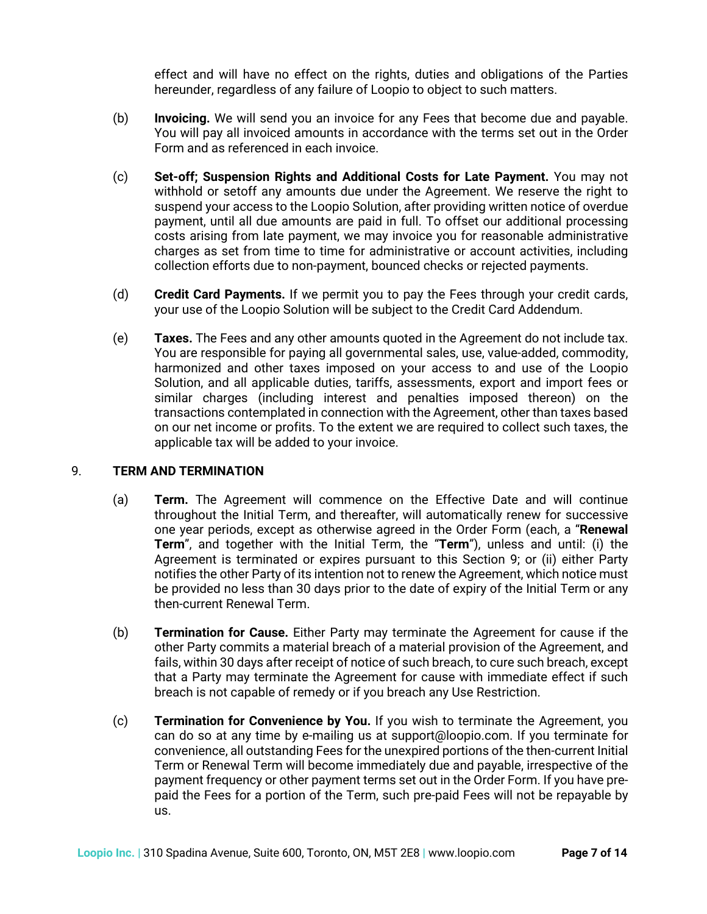effect and will have no effect on the rights, duties and obligations of the Parties hereunder, regardless of any failure of Loopio to object to such matters.

- (b) **Invoicing.** We will send you an invoice for any Fees that become due and payable. You will pay all invoiced amounts in accordance with the terms set out in the Order Form and as referenced in each invoice.
- (c) **Set-off; Suspension Rights and Additional Costs for Late Payment.** You may not withhold or setoff any amounts due under the Agreement. We reserve the right to suspend your access to the Loopio Solution, after providing written notice of overdue payment, until all due amounts are paid in full. To offset our additional processing costs arising from late payment, we may invoice you for reasonable administrative charges as set from time to time for administrative or account activities, including collection efforts due to non-payment, bounced checks or rejected payments.
- (d) **Credit Card Payments.** If we permit you to pay the Fees through your credit cards, your use of the Loopio Solution will be subject to the Credit Card Addendum.
- (e) **Taxes.** The Fees and any other amounts quoted in the Agreement do not include tax. You are responsible for paying all governmental sales, use, value-added, commodity, harmonized and other taxes imposed on your access to and use of the Loopio Solution, and all applicable duties, tariffs, assessments, export and import fees or similar charges (including interest and penalties imposed thereon) on the transactions contemplated in connection with the Agreement, other than taxes based on our net income or profits. To the extent we are required to collect such taxes, the applicable tax will be added to your invoice.

# 9. **TERM AND TERMINATION**

- (a) **Term.** The Agreement will commence on the Effective Date and will continue throughout the Initial Term, and thereafter, will automatically renew for successive one year periods, except as otherwise agreed in the Order Form (each, a "**Renewal Term**", and together with the Initial Term, the "**Term**"), unless and until: (i) the Agreement is terminated or expires pursuant to this Section 9; or (ii) either Party notifies the other Party of its intention not to renew the Agreement, which notice must be provided no less than 30 days prior to the date of expiry of the Initial Term or any then-current Renewal Term.
- (b) **Termination for Cause.** Either Party may terminate the Agreement for cause if the other Party commits a material breach of a material provision of the Agreement, and fails, within 30 days after receipt of notice of such breach, to cure such breach, except that a Party may terminate the Agreement for cause with immediate effect if such breach is not capable of remedy or if you breach any Use Restriction.
- (c) **Termination for Convenience by You.** If you wish to terminate the Agreement, you can do so at any time by e-mailing us at support@loopio.com. If you terminate for convenience, all outstanding Fees for the unexpired portions of the then-current Initial Term or Renewal Term will become immediately due and payable, irrespective of the payment frequency or other payment terms set out in the Order Form. If you have prepaid the Fees for a portion of the Term, such pre-paid Fees will not be repayable by us.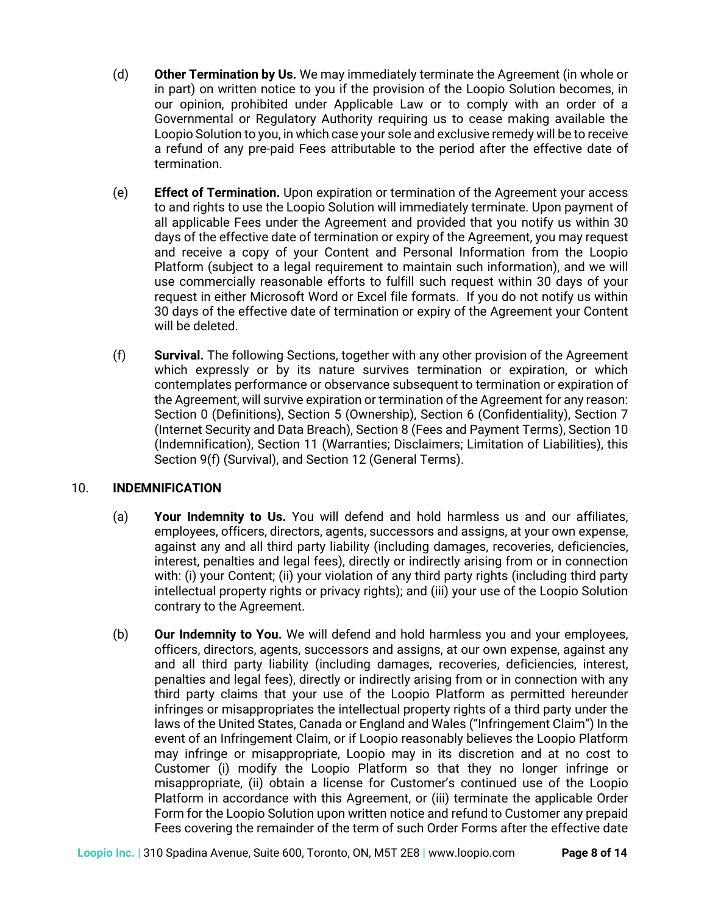- (d) **Other Termination by Us.** We may immediately terminate the Agreement (in whole or in part) on written notice to you if the provision of the Loopio Solution becomes, in our opinion, prohibited under Applicable Law or to comply with an order of a Governmental or Regulatory Authority requiring us to cease making available the Loopio Solution to you, in which case your sole and exclusive remedy will be to receive a refund of any pre-paid Fees attributable to the period after the effective date of termination.
- (e) **Effect of Termination.** Upon expiration or termination of the Agreement your access to and rights to use the Loopio Solution will immediately terminate. Upon payment of all applicable Fees under the Agreement and provided that you notify us within 30 days of the effective date of termination or expiry of the Agreement, you may request and receive a copy of your Content and Personal Information from the Loopio Platform (subject to a legal requirement to maintain such information), and we will use commercially reasonable efforts to fulfill such request within 30 days of your request in either Microsoft Word or Excel file formats. If you do not notify us within 30 days of the effective date of termination or expiry of the Agreement your Content will be deleted.
- (f) **Survival.** The following Sections, together with any other provision of the Agreement which expressly or by its nature survives termination or expiration, or which contemplates performance or observance subsequent to termination or expiration of the Agreement, will survive expiration or termination of the Agreement for any reason: Section 0 (Definitions), Section 5 (Ownership), Section 6 (Confidentiality), Section 7 (Internet Security and Data Breach), Section 8 (Fees and Payment Terms), Section 10 (Indemnification), Section 11 (Warranties; Disclaimers; Limitation of Liabilities), this Section 9(f) (Survival), and Section 12 (General Terms).

# 10. **INDEMNIFICATION**

- (a) **Your Indemnity to Us.** You will defend and hold harmless us and our affiliates, employees, officers, directors, agents, successors and assigns, at your own expense, against any and all third party liability (including damages, recoveries, deficiencies, interest, penalties and legal fees), directly or indirectly arising from or in connection with: (i) your Content; (ii) your violation of any third party rights (including third party intellectual property rights or privacy rights); and (iii) your use of the Loopio Solution contrary to the Agreement.
- (b) **Our Indemnity to You.** We will defend and hold harmless you and your employees, officers, directors, agents, successors and assigns, at our own expense, against any and all third party liability (including damages, recoveries, deficiencies, interest, penalties and legal fees), directly or indirectly arising from or in connection with any third party claims that your use of the Loopio Platform as permitted hereunder infringes or misappropriates the intellectual property rights of a third party under the laws of the United States, Canada or England and Wales ("Infringement Claim") In the event of an Infringement Claim, or if Loopio reasonably believes the Loopio Platform may infringe or misappropriate, Loopio may in its discretion and at no cost to Customer (i) modify the Loopio Platform so that they no longer infringe or misappropriate, (ii) obtain a license for Customer's continued use of the Loopio Platform in accordance with this Agreement, or (iii) terminate the applicable Order Form for the Loopio Solution upon written notice and refund to Customer any prepaid Fees covering the remainder of the term of such Order Forms after the effective date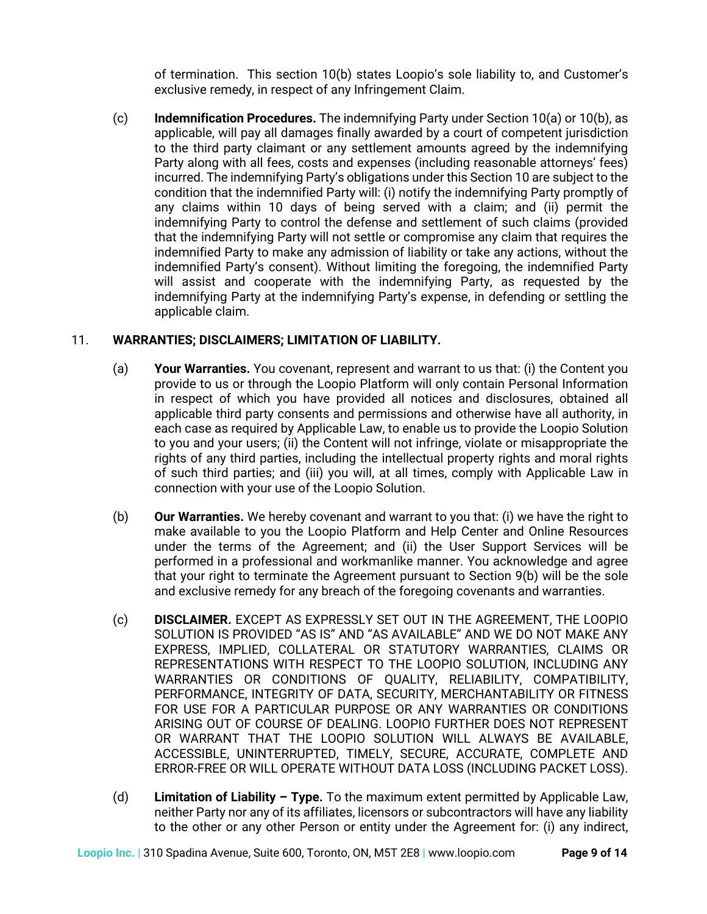of termination. This section 10(b) states Loopio's sole liability to, and Customer's exclusive remedy, in respect of any Infringement Claim.

(c) **Indemnification Procedures.** The indemnifying Party under Section 10(a) or 10(b), as applicable, will pay all damages finally awarded by a court of competent jurisdiction to the third party claimant or any settlement amounts agreed by the indemnifying Party along with all fees, costs and expenses (including reasonable attorneys' fees) incurred. The indemnifying Party's obligations under this Section 10 are subject to the condition that the indemnified Party will: (i) notify the indemnifying Party promptly of any claims within 10 days of being served with a claim; and (ii) permit the indemnifying Party to control the defense and settlement of such claims (provided that the indemnifying Party will not settle or compromise any claim that requires the indemnified Party to make any admission of liability or take any actions, without the indemnified Party's consent). Without limiting the foregoing, the indemnified Party will assist and cooperate with the indemnifying Party, as requested by the indemnifying Party at the indemnifying Party's expense, in defending or settling the applicable claim.

# 11. **WARRANTIES; DISCLAIMERS; LIMITATION OF LIABILITY.**

- (a) **Your Warranties.** You covenant, represent and warrant to us that: (i) the Content you provide to us or through the Loopio Platform will only contain Personal Information in respect of which you have provided all notices and disclosures, obtained all applicable third party consents and permissions and otherwise have all authority, in each case as required by Applicable Law, to enable us to provide the Loopio Solution to you and your users; (ii) the Content will not infringe, violate or misappropriate the rights of any third parties, including the intellectual property rights and moral rights of such third parties; and (iii) you will, at all times, comply with Applicable Law in connection with your use of the Loopio Solution.
- (b) **Our Warranties.** We hereby covenant and warrant to you that: (i) we have the right to make available to you the Loopio Platform and Help Center and Online Resources under the terms of the Agreement; and (ii) the User Support Services will be performed in a professional and workmanlike manner. You acknowledge and agree that your right to terminate the Agreement pursuant to Section 9(b) will be the sole and exclusive remedy for any breach of the foregoing covenants and warranties.
- (c) **DISCLAIMER.** EXCEPT AS EXPRESSLY SET OUT IN THE AGREEMENT, THE LOOPIO SOLUTION IS PROVIDED "AS IS" AND "AS AVAILABLE" AND WE DO NOT MAKE ANY EXPRESS, IMPLIED, COLLATERAL OR STATUTORY WARRANTIES, CLAIMS OR REPRESENTATIONS WITH RESPECT TO THE LOOPIO SOLUTION, INCLUDING ANY WARRANTIES OR CONDITIONS OF QUALITY, RELIABILITY, COMPATIBILITY, PERFORMANCE, INTEGRITY OF DATA, SECURITY, MERCHANTABILITY OR FITNESS FOR USE FOR A PARTICULAR PURPOSE OR ANY WARRANTIES OR CONDITIONS ARISING OUT OF COURSE OF DEALING. LOOPIO FURTHER DOES NOT REPRESENT OR WARRANT THAT THE LOOPIO SOLUTION WILL ALWAYS BE AVAILABLE, ACCESSIBLE, UNINTERRUPTED, TIMELY, SECURE, ACCURATE, COMPLETE AND ERROR-FREE OR WILL OPERATE WITHOUT DATA LOSS (INCLUDING PACKET LOSS).
- (d) **Limitation of Liability – Type.** To the maximum extent permitted by Applicable Law, neither Party nor any of its affiliates, licensors or subcontractors will have any liability to the other or any other Person or entity under the Agreement for: (i) any indirect,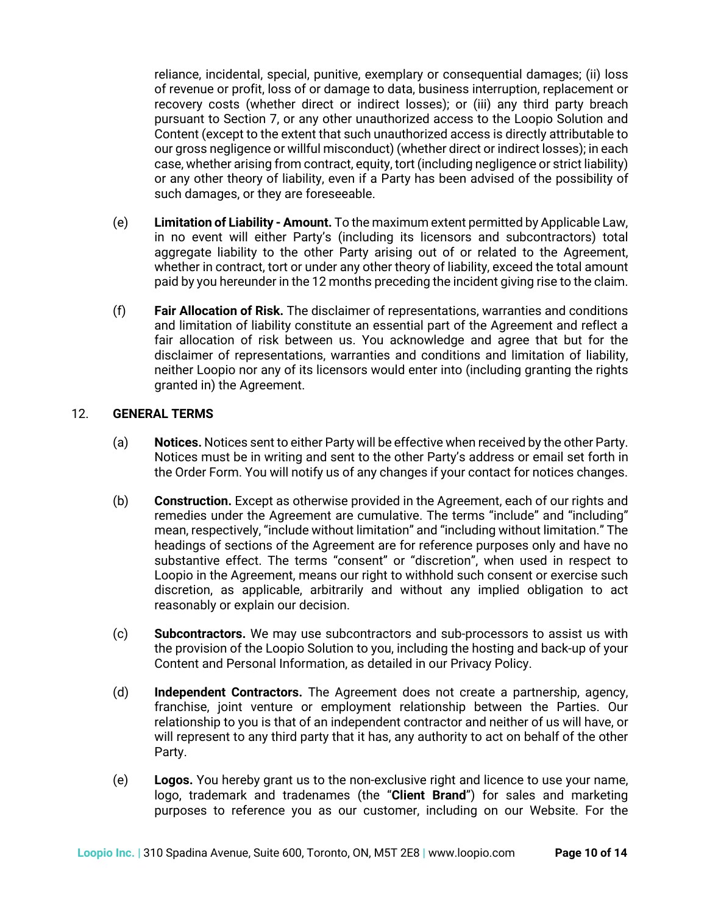reliance, incidental, special, punitive, exemplary or consequential damages; (ii) loss of revenue or profit, loss of or damage to data, business interruption, replacement or recovery costs (whether direct or indirect losses); or (iii) any third party breach pursuant to Section 7, or any other unauthorized access to the Loopio Solution and Content (except to the extent that such unauthorized access is directly attributable to our gross negligence or willful misconduct) (whether direct or indirect losses); in each case, whether arising from contract, equity, tort (including negligence or strict liability) or any other theory of liability, even if a Party has been advised of the possibility of such damages, or they are foreseeable.

- (e) **Limitation of Liability - Amount.** To the maximum extent permitted by Applicable Law, in no event will either Party's (including its licensors and subcontractors) total aggregate liability to the other Party arising out of or related to the Agreement, whether in contract, tort or under any other theory of liability, exceed the total amount paid by you hereunder in the 12 months preceding the incident giving rise to the claim.
- (f) **Fair Allocation of Risk.** The disclaimer of representations, warranties and conditions and limitation of liability constitute an essential part of the Agreement and reflect a fair allocation of risk between us. You acknowledge and agree that but for the disclaimer of representations, warranties and conditions and limitation of liability, neither Loopio nor any of its licensors would enter into (including granting the rights granted in) the Agreement.

### 12. **GENERAL TERMS**

- (a) **Notices.** Notices sent to either Party will be effective when received by the other Party. Notices must be in writing and sent to the other Party's address or email set forth in the Order Form. You will notify us of any changes if your contact for notices changes.
- (b) **Construction.** Except as otherwise provided in the Agreement, each of our rights and remedies under the Agreement are cumulative. The terms "include" and "including" mean, respectively, "include without limitation" and "including without limitation." The headings of sections of the Agreement are for reference purposes only and have no substantive effect. The terms "consent" or "discretion", when used in respect to Loopio in the Agreement, means our right to withhold such consent or exercise such discretion, as applicable, arbitrarily and without any implied obligation to act reasonably or explain our decision.
- (c) **Subcontractors.** We may use subcontractors and sub-processors to assist us with the provision of the Loopio Solution to you, including the hosting and back-up of your Content and Personal Information, as detailed in our Privacy Policy.
- (d) **Independent Contractors.** The Agreement does not create a partnership, agency, franchise, joint venture or employment relationship between the Parties. Our relationship to you is that of an independent contractor and neither of us will have, or will represent to any third party that it has, any authority to act on behalf of the other Party.
- (e) **Logos.** You hereby grant us to the non-exclusive right and licence to use your name, logo, trademark and tradenames (the "**Client Brand**") for sales and marketing purposes to reference you as our customer, including on our Website. For the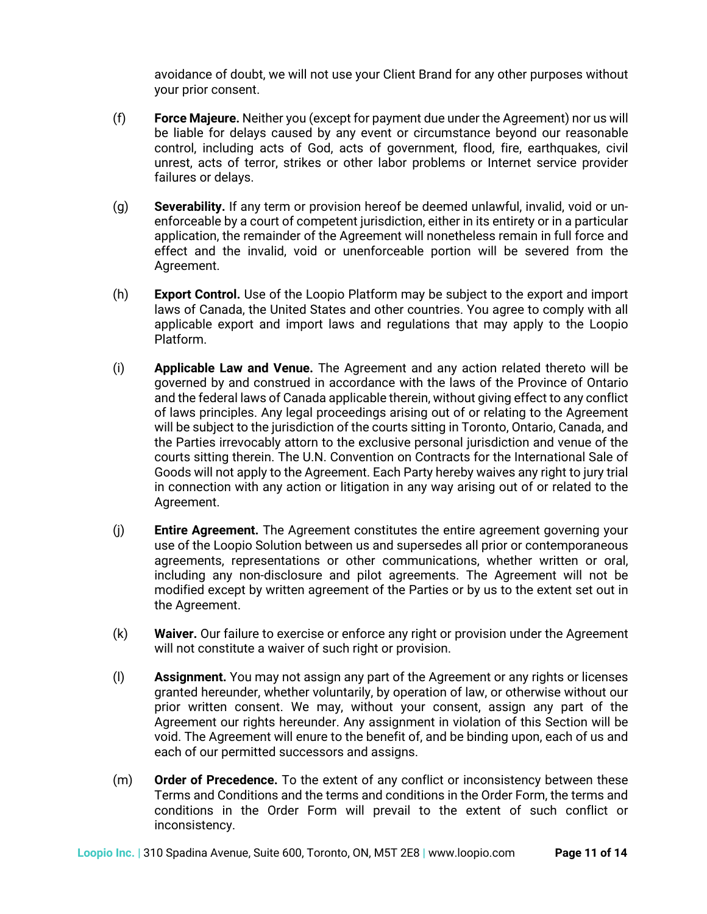avoidance of doubt, we will not use your Client Brand for any other purposes without your prior consent.

- (f) **Force Majeure.** Neither you (except for payment due under the Agreement) nor us will be liable for delays caused by any event or circumstance beyond our reasonable control, including acts of God, acts of government, flood, fire, earthquakes, civil unrest, acts of terror, strikes or other labor problems or Internet service provider failures or delays.
- (g) **Severability.** If any term or provision hereof be deemed unlawful, invalid, void or unenforceable by a court of competent jurisdiction, either in its entirety or in a particular application, the remainder of the Agreement will nonetheless remain in full force and effect and the invalid, void or unenforceable portion will be severed from the Agreement.
- (h) **Export Control.** Use of the Loopio Platform may be subject to the export and import laws of Canada, the United States and other countries. You agree to comply with all applicable export and import laws and regulations that may apply to the Loopio Platform.
- (i) **Applicable Law and Venue.** The Agreement and any action related thereto will be governed by and construed in accordance with the laws of the Province of Ontario and the federal laws of Canada applicable therein, without giving effect to any conflict of laws principles. Any legal proceedings arising out of or relating to the Agreement will be subject to the jurisdiction of the courts sitting in Toronto, Ontario, Canada, and the Parties irrevocably attorn to the exclusive personal jurisdiction and venue of the courts sitting therein. The U.N. Convention on Contracts for the International Sale of Goods will not apply to the Agreement. Each Party hereby waives any right to jury trial in connection with any action or litigation in any way arising out of or related to the Agreement.
- (j) **Entire Agreement.** The Agreement constitutes the entire agreement governing your use of the Loopio Solution between us and supersedes all prior or contemporaneous agreements, representations or other communications, whether written or oral, including any non-disclosure and pilot agreements. The Agreement will not be modified except by written agreement of the Parties or by us to the extent set out in the Agreement.
- (k) **Waiver.** Our failure to exercise or enforce any right or provision under the Agreement will not constitute a waiver of such right or provision.
- (l) **Assignment.** You may not assign any part of the Agreement or any rights or licenses granted hereunder, whether voluntarily, by operation of law, or otherwise without our prior written consent. We may, without your consent, assign any part of the Agreement our rights hereunder. Any assignment in violation of this Section will be void. The Agreement will enure to the benefit of, and be binding upon, each of us and each of our permitted successors and assigns.
- (m) **Order of Precedence.** To the extent of any conflict or inconsistency between these Terms and Conditions and the terms and conditions in the Order Form, the terms and conditions in the Order Form will prevail to the extent of such conflict or inconsistency.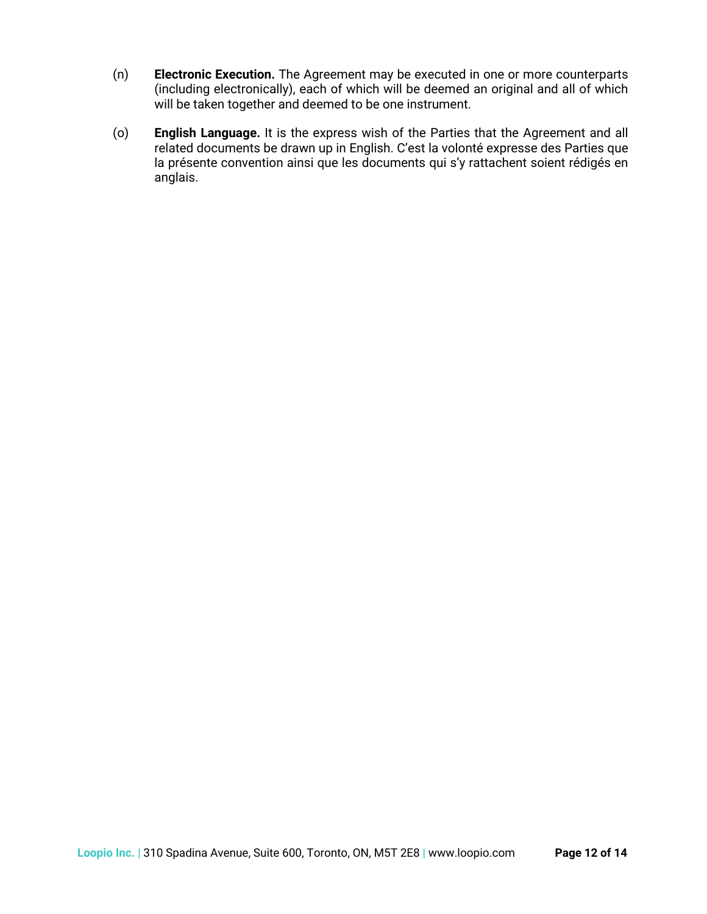- (n) **Electronic Execution.** The Agreement may be executed in one or more counterparts (including electronically), each of which will be deemed an original and all of which will be taken together and deemed to be one instrument.
- (o) **English Language.** It is the express wish of the Parties that the Agreement and all related documents be drawn up in English. C'est la volonté expresse des Parties que la présente convention ainsi que les documents qui s'y rattachent soient rédigés en anglais.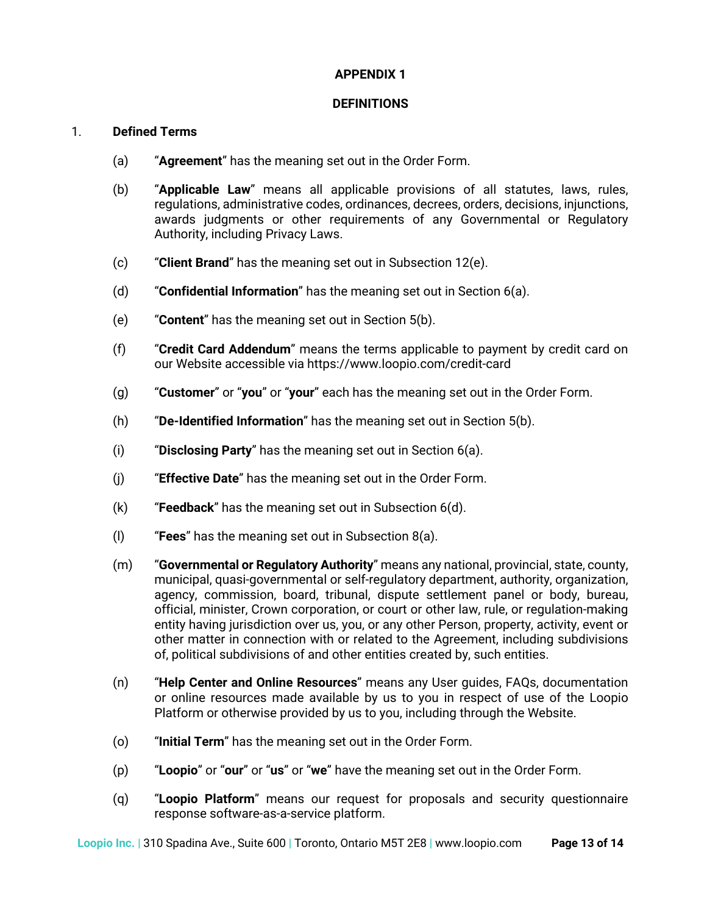#### **APPENDIX 1**

#### **DEFINITIONS**

### 1. **Defined Terms**

- (a) "**Agreement**" has the meaning set out in the Order Form.
- (b) "**Applicable Law**" means all applicable provisions of all statutes, laws, rules, regulations, administrative codes, ordinances, decrees, orders, decisions, injunctions, awards judgments or other requirements of any Governmental or Regulatory Authority, including Privacy Laws.
- (c) "**Client Brand**" has the meaning set out in Subsection 12(e).
- (d) "**Confidential Information**" has the meaning set out in Section 6(a).
- (e) "**Content**" has the meaning set out in Section 5(b).
- (f) "**Credit Card Addendum**" means the terms applicable to payment by credit card on our Website accessible via https://www.loopio.com/credit-card
- (g) "**Customer**" or "**you**" or "**your**" each has the meaning set out in the Order Form.
- (h) "**De-Identified Information**" has the meaning set out in Section 5(b).
- (i) "**Disclosing Party**" has the meaning set out in Section 6(a).
- (j) "**Effective Date**" has the meaning set out in the Order Form.
- (k) "**Feedback**" has the meaning set out in Subsection 6(d).
- (l) "**Fees**" has the meaning set out in Subsection 8(a).
- (m) "**Governmental or Regulatory Authority**" means any national, provincial, state, county, municipal, quasi-governmental or self-regulatory department, authority, organization, agency, commission, board, tribunal, dispute settlement panel or body, bureau, official, minister, Crown corporation, or court or other law, rule, or regulation-making entity having jurisdiction over us, you, or any other Person, property, activity, event or other matter in connection with or related to the Agreement, including subdivisions of, political subdivisions of and other entities created by, such entities.
- (n) "**Help Center and Online Resources**" means any User guides, FAQs, documentation or online resources made available by us to you in respect of use of the Loopio Platform or otherwise provided by us to you, including through the Website.
- (o) "**Initial Term**" has the meaning set out in the Order Form.
- (p) "**Loopio**" or "**our**" or "**us**" or "**we**" have the meaning set out in the Order Form.
- (q) "**Loopio Platform**" means our request for proposals and security questionnaire response software-as-a-service platform.